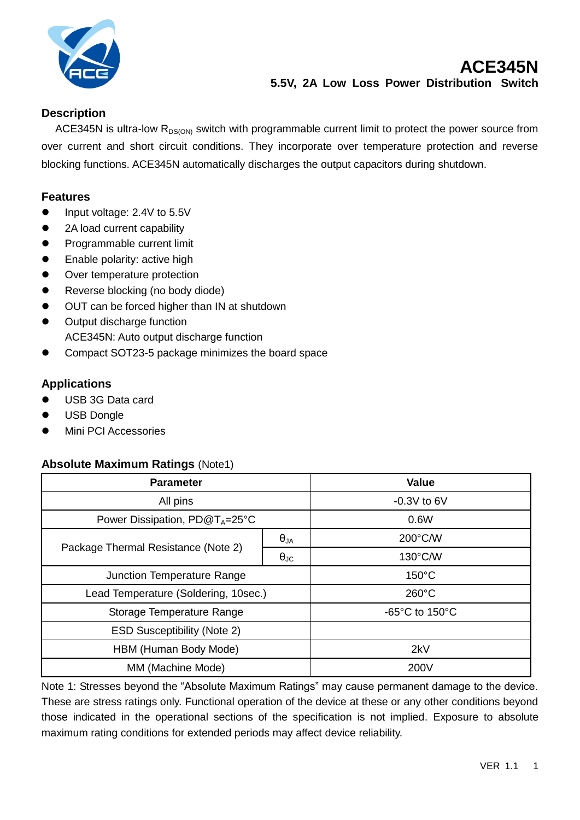

## **Description**

ACE345N is ultra-low  $R_{DS(ON)}$  switch with programmable current limit to protect the power source from over current and short circuit conditions. They incorporate over temperature protection and reverse blocking functions. ACE345N automatically discharges the output capacitors during shutdown.

### **Features**

- Input voltage: 2.4V to 5.5V
- 2A load current capability
- **•** Programmable current limit
- **•** Enable polarity: active high
- Over temperature protection
- Reverse blocking (no body diode)
- OUT can be forced higher than IN at shutdown
- Output discharge function ACE345N: Auto output discharge function
- Compact SOT23-5 package minimizes the board space

### **Applications**

- USB 3G Data card
- USB Dongle
- **•** Mini PCI Accessories

#### **Absolute Maximum Ratings** (Note1)

| <b>Parameter</b>                     |                      | <b>Value</b>                        |
|--------------------------------------|----------------------|-------------------------------------|
| All pins                             |                      | $-0.3V$ to 6V                       |
| Power Dissipation, $PD@T_A=25°C$     |                      | 0.6W                                |
| Package Thermal Resistance (Note 2)  | $\theta_{JA}$        | 200°C/W                             |
|                                      | $\theta_{\text{JC}}$ | 130°C/W                             |
| Junction Temperature Range           |                      | $150^{\circ}$ C                     |
| Lead Temperature (Soldering, 10sec.) |                      | $260^{\circ}$ C                     |
| Storage Temperature Range            |                      | $-65^{\circ}$ C to 150 $^{\circ}$ C |
| <b>ESD Susceptibility (Note 2)</b>   |                      |                                     |
| HBM (Human Body Mode)                |                      | 2kV                                 |
| MM (Machine Mode)                    |                      | 200V                                |

Note 1: Stresses beyond the "Absolute Maximum Ratings" may cause permanent damage to the device. These are stress ratings only. Functional operation of the device at these or any other conditions beyond those indicated in the operational sections of the specification is not implied. Exposure to absolute maximum rating conditions for extended periods may affect device reliability.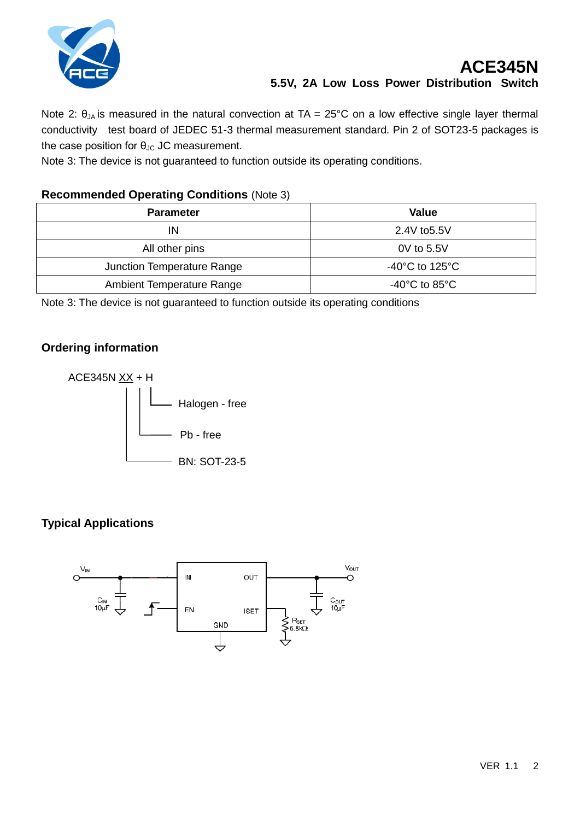

# **ACE345N 5.5V, 2A Low Loss Power Distribution Switch**

Note 2:  $\theta_{JA}$  is measured in the natural convection at TA = 25°C on a low effective single layer thermal conductivity test board of JEDEC 51-3 thermal measurement standard. Pin 2 of SOT23-5 packages is the case position for  $\theta_{\text{JC}}$  JC measurement.

Note 3: The device is not guaranteed to function outside its operating conditions.

## **Recommended Operating Conditions** (Note 3)

| <b>Parameter</b>           | <b>Value</b>                         |
|----------------------------|--------------------------------------|
| IN                         | 2.4V to 5.5V                         |
| All other pins             | 0V to 5.5V                           |
| Junction Temperature Range | -40 $^{\circ}$ C to 125 $^{\circ}$ C |
| Ambient Temperature Range  | -40 $^{\circ}$ C to 85 $^{\circ}$ C  |

Note 3: The device is not guaranteed to function outside its operating conditions

## **Ordering information**



# **Typical Applications**